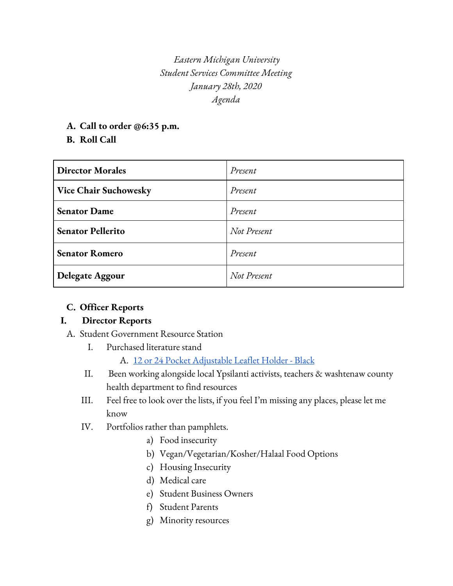*Eastern Michigan University Student Services Committee Meeting January 28th, 2020 Agenda*

**A. Call to order @6:35 p.m.**

### **B. Roll Call**

| <b>Director Morales</b>      | Present     |
|------------------------------|-------------|
| <b>Vice Chair Suchowesky</b> | Present     |
| <b>Senator Dame</b>          | Present     |
| <b>Senator Pellerito</b>     | Not Present |
| <b>Senator Romero</b>        | Present     |
| Delegate Aggour              | Not Present |

# **C. Officer Reports**

# **I. Director Reports**

- A. Student Government Resource Station
	- I. Purchased literature stand

A. 12 or 24 Pocket [Adjustable](https://www.displays2go.com/P-10482/Leaflet-Holder-featuring-12-or-24-Pockets) Leaflet Holder - Black

- II. Been working alongside local Ypsilanti activists, teachers & washtenaw county health department to find resources
- III. Feel free to look over the lists, if you feel I'm missing any places, please let me know
- IV. Portfolios rather than pamphlets.
	- a) Food insecurity
	- b) Vegan/Vegetarian/Kosher/Halaal Food Options
	- c) Housing Insecurity
	- d) Medical care
	- e) Student Business Owners
	- f) Student Parents
	- g) Minority resources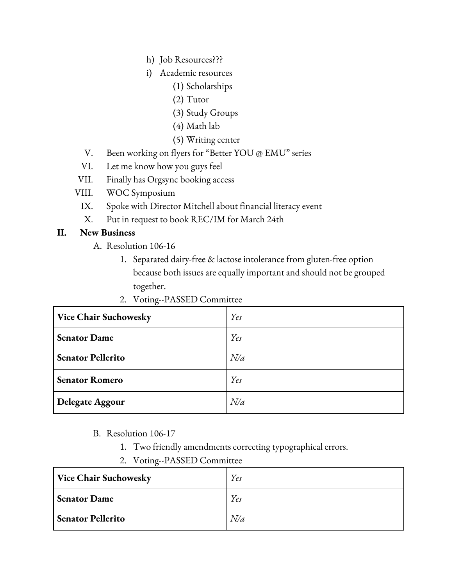- h) Job Resources???
- i) Academic resources
	- (1) Scholarships
	- (2) Tutor
	- (3) Study Groups
	- (4) Math lab
	- (5) Writing center
- V. Been working on flyers for "Better YOU @ EMU" series
- VI. Let me know how you guys feel
- VII. Finally has Orgsync booking access
- VIII. WOC Symposium
	- IX. Spoke with Director Mitchell about financial literacy event
	- X. Put in request to book REC/IM for March 24th

### **II. New Business**

- A. Resolution 106-16
	- 1. Separated dairy-free & lactose intolerance from gluten-free option because both issues are equally important and should not be grouped together.
	- 2. Voting--PASSED Committee

| <b>Vice Chair Suchowesky</b> | Yes |
|------------------------------|-----|
| <b>Senator Dame</b>          | Yes |
| <b>Senator Pellerito</b>     | N/a |
| <b>Senator Romero</b>        | Yes |
| Delegate Aggour              | N/a |

- B. Resolution 106-17
	- 1. Two friendly amendments correcting typographical errors.
	- 2. Voting--PASSED Committee

| Vice Chair Suchowesky    | Yes |
|--------------------------|-----|
| <b>Senator Dame</b>      | Yes |
| <b>Senator Pellerito</b> | N/a |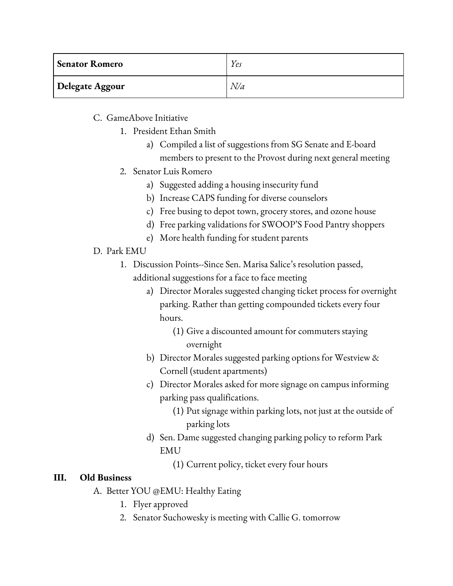| <b>Senator Romero</b> | Yes |
|-----------------------|-----|
| Delegate Aggour       | N/a |

C. GameAbove Initiative

- 1. President Ethan Smith
	- a) Compiled a list of suggestions from SG Senate and E-board members to present to the Provost during next general meeting
- 2. Senator Luis Romero
	- a) Suggested adding a housing insecurity fund
	- b) Increase CAPS funding for diverse counselors
	- c) Free busing to depot town, grocery stores, and ozone house
	- d) Free parking validations for SWOOP'S Food Pantry shoppers
	- e) More health funding for student parents
- D. Park EMU
	- 1. Discussion Points--Since Sen. Marisa Salice's resolution passed, additional suggestions for a face to face meeting
		- a) Director Morales suggested changing ticket process for overnight parking. Rather than getting compounded tickets every four hours.
			- (1) Give a discounted amount for commuters staying overnight
		- b) Director Morales suggested parking options for Westview & Cornell (student apartments)
		- c) Director Morales asked for more signage on campus informing parking pass qualifications.
			- (1) Put signage within parking lots, not just at the outside of parking lots
		- d) Sen. Dame suggested changing parking policy to reform Park EMU
			- (1) Current policy, ticket every four hours

# **III. Old Business**

- A. Better YOU @EMU: Healthy Eating
	- 1. Flyer approved
	- 2. Senator Suchowesky is meeting with Callie G. tomorrow